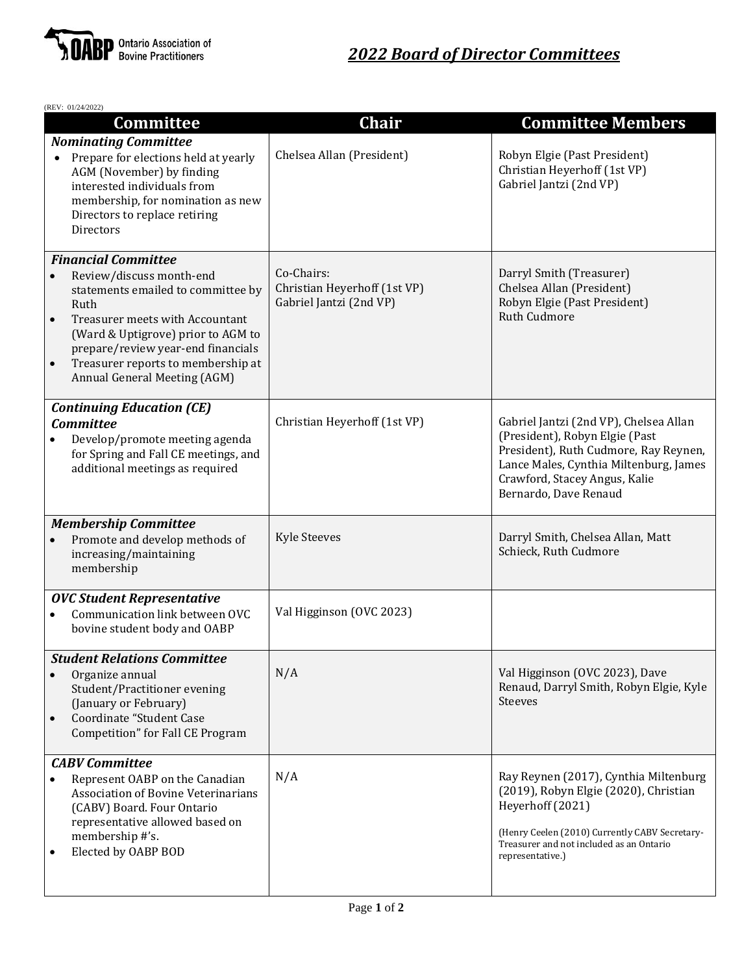

| (REV: 01/24/2022)                                                                                                                                                                                                                                                                                                   |                                                                       |                                                                                                                                                                                                                       |
|---------------------------------------------------------------------------------------------------------------------------------------------------------------------------------------------------------------------------------------------------------------------------------------------------------------------|-----------------------------------------------------------------------|-----------------------------------------------------------------------------------------------------------------------------------------------------------------------------------------------------------------------|
| <b>Committee</b>                                                                                                                                                                                                                                                                                                    | Chair                                                                 | <b>Committee Members</b>                                                                                                                                                                                              |
| <b>Nominating Committee</b><br>Prepare for elections held at yearly<br>AGM (November) by finding<br>interested individuals from<br>membership, for nomination as new<br>Directors to replace retiring<br>Directors                                                                                                  | Chelsea Allan (President)                                             | Robyn Elgie (Past President)<br>Christian Heyerhoff (1st VP)<br>Gabriel Jantzi (2nd VP)                                                                                                                               |
| <b>Financial Committee</b><br>Review/discuss month-end<br>statements emailed to committee by<br>Ruth<br>Treasurer meets with Accountant<br>$\bullet$<br>(Ward & Uptigrove) prior to AGM to<br>prepare/review year-end financials<br>Treasurer reports to membership at<br>$\bullet$<br>Annual General Meeting (AGM) | Co-Chairs:<br>Christian Heyerhoff (1st VP)<br>Gabriel Jantzi (2nd VP) | Darryl Smith (Treasurer)<br>Chelsea Allan (President)<br>Robyn Elgie (Past President)<br><b>Ruth Cudmore</b>                                                                                                          |
| <b>Continuing Education (CE)</b><br><b>Committee</b><br>Develop/promote meeting agenda<br>for Spring and Fall CE meetings, and<br>additional meetings as required                                                                                                                                                   | Christian Heyerhoff (1st VP)                                          | Gabriel Jantzi (2nd VP), Chelsea Allan<br>(President), Robyn Elgie (Past<br>President), Ruth Cudmore, Ray Reynen,<br>Lance Males, Cynthia Miltenburg, James<br>Crawford, Stacey Angus, Kalie<br>Bernardo, Dave Renaud |
| <b>Membership Committee</b><br>Promote and develop methods of<br>increasing/maintaining<br>membership                                                                                                                                                                                                               | <b>Kyle Steeves</b>                                                   | Darryl Smith, Chelsea Allan, Matt<br>Schieck, Ruth Cudmore                                                                                                                                                            |
| <b>OVC Student Representative</b><br>Communication link between OVC<br>bovine student body and OABP                                                                                                                                                                                                                 | Val Higginson (OVC 2023)                                              |                                                                                                                                                                                                                       |
| <b>Student Relations Committee</b><br>Organize annual<br>$\bullet$<br>Student/Practitioner evening<br>(January or February)<br>Coordinate "Student Case<br>$\bullet$<br>Competition" for Fall CE Program                                                                                                            | N/A                                                                   | Val Higginson (OVC 2023), Dave<br>Renaud, Darryl Smith, Robyn Elgie, Kyle<br><b>Steeves</b>                                                                                                                           |
| <b>CABV</b> Committee<br>Represent OABP on the Canadian<br>$\bullet$<br><b>Association of Bovine Veterinarians</b><br>(CABV) Board. Four Ontario<br>representative allowed based on<br>membership #'s.<br>Elected by OABP BOD                                                                                       | N/A                                                                   | Ray Reynen (2017), Cynthia Miltenburg<br>(2019), Robyn Elgie (2020), Christian<br>Heyerhoff (2021)<br>(Henry Ceelen (2010) Currently CABV Secretary-<br>Treasurer and not included as an Ontario<br>representative.)  |